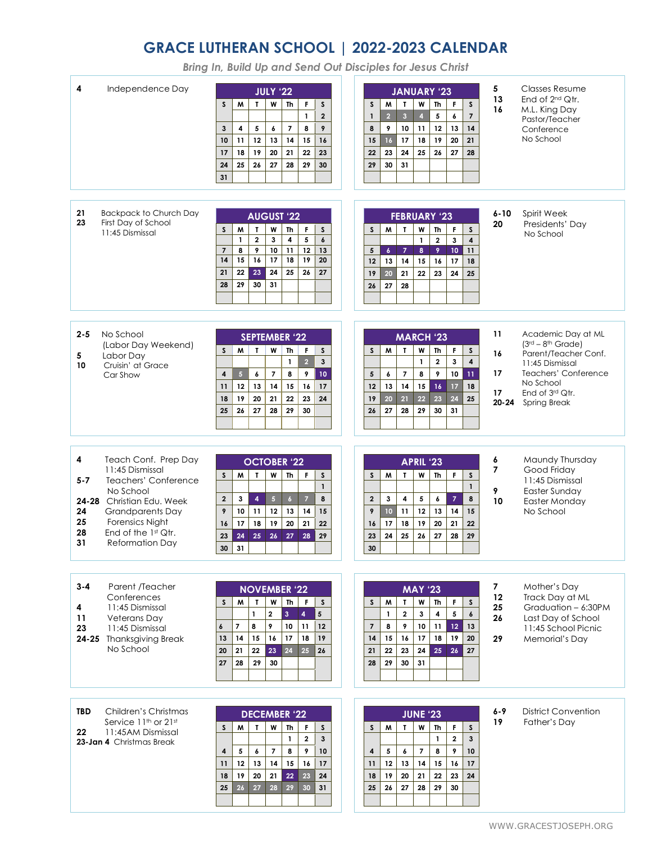## **GRACE LUTHERAN SCHOOL | 2022-2023 CALENDAR**

*Bring In, Build Up and Send Out Disciples for Jesus Christ*

| Independence Day<br>4                                                                                                                                                                                                                            | <b>JULY '22</b><br>F<br>$\mathsf{s}$<br>M<br>$\mathbf{r}$<br>W<br>Th<br>$\mathsf{s}$<br>$\mathbf{1}$<br>$\overline{2}$<br>$\overline{7}$<br>8<br>9<br>3<br>4<br>5<br>6<br>12<br>13<br>16<br>10 <sup>10</sup><br>11<br>14<br>15<br>18<br>19<br>20<br>21<br>22<br>23<br>17<br>25<br>26<br>27<br>28<br>29<br>30<br>24<br>31                                                   | JANUARY '23<br>$\mathsf{s}$<br>M<br>$\mathbf{T}$<br>W<br>Th<br>F<br>$\mathsf{s}$<br>$\overline{2}$<br>$\overline{\mathbf{3}}$<br>$\overline{7}$<br>$\overline{\mathbf{4}}$<br>5<br>6<br>$\mathbf{1}$<br>9<br>10<br>11<br>12<br>14<br>8<br>13<br>18<br>19<br>16 <sup>1</sup><br>17<br>20<br>15<br>21<br>${\bf 24}$<br>25<br>23<br>26<br>27<br>22<br>28<br>31<br>29<br>30 | 5<br>13<br>16                          | <b>Classes Resume</b><br>End of $2^{nd}$ Qtr.<br>M.L. King Day<br>Pastor/Teacher<br>Conference<br>No School                                                         |
|--------------------------------------------------------------------------------------------------------------------------------------------------------------------------------------------------------------------------------------------------|----------------------------------------------------------------------------------------------------------------------------------------------------------------------------------------------------------------------------------------------------------------------------------------------------------------------------------------------------------------------------|-------------------------------------------------------------------------------------------------------------------------------------------------------------------------------------------------------------------------------------------------------------------------------------------------------------------------------------------------------------------------|----------------------------------------|---------------------------------------------------------------------------------------------------------------------------------------------------------------------|
| 21<br><b>Backpack to Church Day</b><br>23<br>First Day of School<br>11:45 Dismissal                                                                                                                                                              | <b>AUGUST '22</b><br>$\mathsf{s}$<br>M<br>$\mathbf{T}$<br>W<br>Th<br>F<br>$\mathsf S$<br>$\mathbf 2$<br>5<br>$\boldsymbol{6}$<br>1<br>3<br>4<br>8<br>9<br>10<br>11<br>12<br>$\overline{7}$<br>13<br>15<br>17<br>18<br>19<br>14<br>16<br>20<br>23<br>22<br>24<br>25<br>26<br>27<br>21<br>30<br>31<br>28<br>29                                                               | <b>FEBRUARY '23</b><br>M<br>$\mathbf{I}$<br><b>Th</b><br>W<br>F<br>$\boldsymbol{\mathsf{S}}$<br>S<br>$\mathbf{1}$<br>$\overline{\mathbf{2}}$<br>$\overline{\mathbf{4}}$<br>$\mathbf{3}$<br>9<br>10<br>5<br>$\boldsymbol{6}$<br>$\overline{7}$<br>8<br>11<br>15<br>13<br>14<br>16<br>17<br>12<br>18<br>22<br>19<br>20<br>21<br>23<br>24<br>25<br>28<br>26<br>27          | $6 - 10$<br>20                         | Spirit Week<br>Presidents' Dav<br>No School                                                                                                                         |
| $2 - 5$<br>No School<br>(Labor Day Weekend)<br>Labor Day<br>5<br>Cruisin' at Grace<br>10<br>Car Show                                                                                                                                             | <b>SEPTEMBER '22</b><br>M<br>$\mathbf{L}$<br>W<br>s.<br><b>Th</b><br>F.<br>S<br>$\overline{2}$<br>$\mathbf{3}$<br>$\mathbf{1}$<br>$\overline{\phantom{a}}$<br>5 <sup>1</sup><br>8<br>9<br>10<br>4<br>6<br>12<br>14<br>16<br>13<br>15<br>17<br>11<br>19<br>20<br>21<br>22<br>23<br>24<br>18<br>26<br>27<br>25<br>28<br>29<br>30                                             | <b>MARCH '23</b><br>M<br>W<br><b>Th</b><br>$\mathsf S$<br>$\mathbf{I}$<br>F<br>$\boldsymbol{\mathsf{S}}$<br>$\overline{\mathbf{4}}$<br>$\mathbf{1}$<br>$\mathbf{2}$<br>3<br>$\overline{7}$<br>8<br>9<br>$\overline{5}$<br>10<br>11<br>6<br>13<br>14<br>15<br>18<br>12<br>16<br>17<br>22<br>23<br>24<br>20<br>21<br>25<br>19<br>28<br>29<br>26<br>27<br>30<br>31         | 11<br>16<br>17<br>17<br>$20 - 24$      | Academic Day at ML<br>$(3rd - 8th Grade)$<br>Parent/Teacher Conf.<br>11:45 Dismissal<br>Teachers' Conference<br>No School<br>End of 3rd Qtr.<br><b>Spring Break</b> |
| 4<br>Teach Conf. Prep Day<br>11:45 Dismissal<br>$5 - 7$<br>Teachers' Conference<br>No School<br>24-28 Christian Edu. Week<br>24<br><b>Grandparents Day</b><br>25<br>Forensics Night<br>28<br>End of the 1st Qtr.<br>31<br><b>Reformation Day</b> | <b>OCTOBER '22</b><br>W<br>$\mathsf F$<br>$\mathsf{s}$<br>M<br>$\mathbf{r}$<br>Th<br>$\mathsf{s}$<br>$\mathbf{1}$<br>$\mathbf{2}$<br>$\overline{4}$<br>$\sqrt{5}$<br>$\overline{7}$<br>8<br>3<br>$\ddot{\phantom{0}}$<br>9<br>10<br>11<br>12<br>13<br>14<br>15<br>18<br>19<br>22<br>16<br>17<br>20<br>21<br>24<br>25<br>26<br>27<br>29<br>23<br>28<br>30<br>31             | APRIL '23<br>W<br>M<br>$\mathbf{r}$<br><b>Th</b><br>F<br>$\boldsymbol{\mathsf{S}}$<br>S.<br>$\mathbf{1}$<br>$\overline{\mathbf{2}}$<br>3<br>5<br>$\overline{7}$<br>8<br>4<br>6<br>$10-10$<br>11<br>12<br>15<br>9<br>13<br>14<br>17<br>18<br>19<br>20<br>21<br>22<br>16<br>24<br>25<br>26<br>27<br>23<br>28<br>29<br>30                                                  | 6<br>$\overline{7}$<br>9<br>10         | Maundy Thursday<br>Good Friday<br>11:45 Dismissal<br>Easter Sunday<br>Easter Monday<br>No School                                                                    |
| $3 - 4$<br>Parent /Teacher<br>Conferences<br>11:45 Dismissal<br>4<br>Veterans Day<br>11<br>23<br>11:45 Dismissal<br>24-25 Thanksgiving Break<br>No School                                                                                        | <b>NOVEMBER '22</b><br>W<br>Th<br>$\mathsf F$<br>S.<br>M<br>$\mathbf{I}$<br>S<br>$\mathbf 2$<br>$\overline{\mathbf{4}}$<br>5<br>$\mathbf{1}$<br>$\mathbf{3}$<br>9<br>$\overline{7}$<br>8<br>10<br>12<br>11<br>6<br>14<br>15<br>16<br>18<br>19<br>17<br>13<br>21<br>22<br>23<br>24<br>26<br>20<br>25<br>28<br>29<br>30<br>27                                                | <b>MAY '23</b><br>S<br>W<br>W<br>Th<br>F<br>S<br>T.<br>$\mathbf{2}$<br>$\mathbf{3}$<br>$\pmb{\delta}$<br>$\mathbf{1}$<br>4<br>5<br>$\overline{7}$<br>8<br>9<br>10<br>13<br>11<br>12<br>16<br>17<br>20<br>14<br>15<br>18<br>19<br>22<br>23<br>24<br>25<br>27<br>21<br>26<br>30<br>29<br>31<br>28                                                                         | $\overline{7}$<br>12<br>25<br>26<br>29 | Mother's Day<br>Track Day at ML<br>Graduation - 6:30PM<br>Last Day of School<br>11:45 School Picnic<br>Memorial's Day                                               |
| <b>TBD</b><br>Children's Christmas<br>Service 11 <sup>th</sup> or 21st<br>11:45AM Dismissal<br>22<br>23-Jan 4 Christmas Break                                                                                                                    | <b>DECEMBER '22</b><br>$\mathsf{s}$<br>M<br>$\mathbf{r}$<br>W<br>Th<br>F<br>$\mathsf{s}$<br>$\overline{\mathbf{2}}$<br>$\mathbf{3}$<br>$\mathbf{1}$<br>$\overline{7}$<br>$\sqrt{5}$<br>10<br>6<br>8<br>9<br>4<br>$12\,$<br>13<br>14<br>15<br>16<br>17<br>11<br>19<br>20<br>21<br>22<br>23<br>24<br>18<br>$26\phantom{.0}$<br>27<br>29<br>28<br>30 <sup>°</sup><br>31<br>25 | <b>JUNE '23</b><br>M<br>W<br>Th<br>F<br>$\mathsf{s}$<br>S<br>$\mathbf{r}$<br>$\mathbf{1}$<br>$\overline{\mathbf{2}}$<br>$\mathbf{3}$<br>5<br>$\overline{\phantom{a}}$<br>10<br>6<br>8<br>9<br>$\overline{\mathbf{4}}$<br>12<br>13<br>14<br>15<br>16<br>17<br>11<br>19<br>20<br>21<br>24<br>22<br>23<br>18<br>27<br>28<br>29<br>30<br>25<br>26                           | 6-9<br>19                              | <b>District Convention</b><br>Father's Day                                                                                                                          |